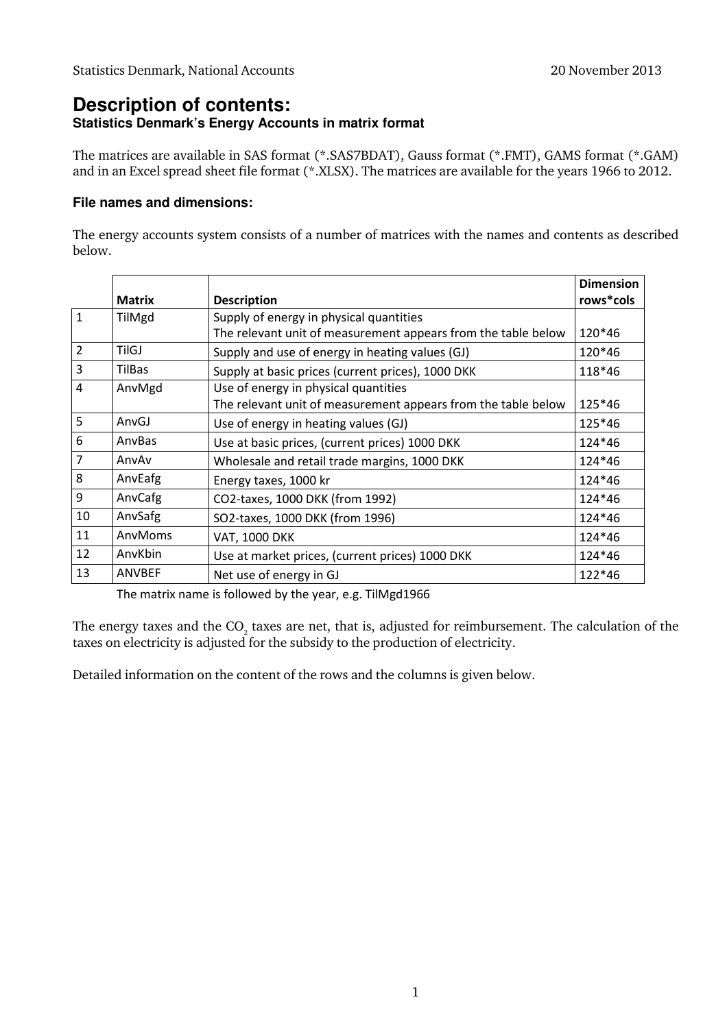# **Description of contents: Statistics Denmark's Energy Accounts in matrix format**

The matrices are available in SAS format (\*.SAS7BDAT), Gauss format (\*.FMT), GAMS format (\*.GAM) and in an Excel spread sheet file format (\*.XLSX). The matrices are available for the years 1966 to 2012.

### **File names and dimensions:**

The energy accounts system consists of a number of matrices with the names and contents as described below.

|                |               |                                                               | <b>Dimension</b> |
|----------------|---------------|---------------------------------------------------------------|------------------|
|                | <b>Matrix</b> | <b>Description</b>                                            | rows*cols        |
| $\mathbf{1}$   | TilMgd        | Supply of energy in physical quantities                       |                  |
|                |               | The relevant unit of measurement appears from the table below | 120*46           |
| $\overline{2}$ | <b>TilGJ</b>  | Supply and use of energy in heating values (GJ)               | 120*46           |
| 3              | <b>TilBas</b> | Supply at basic prices (current prices), 1000 DKK             | 118*46           |
| 4              | AnvMgd        | Use of energy in physical quantities                          |                  |
|                |               | The relevant unit of measurement appears from the table below | 125*46           |
| 5              | AnvGJ         | Use of energy in heating values (GJ)                          | 125*46           |
| 6              | AnvBas        | Use at basic prices, (current prices) 1000 DKK                | 124*46           |
| 7              | AnvAv         | Wholesale and retail trade margins, 1000 DKK                  | 124*46           |
| 8              | AnvEafg       | Energy taxes, 1000 kr                                         | 124*46           |
| 9              | AnvCafg       | CO2-taxes, 1000 DKK (from 1992)                               | 124*46           |
| 10             | AnvSafg       | SO2-taxes, 1000 DKK (from 1996)                               | 124*46           |
| 11             | AnvMoms       | <b>VAT, 1000 DKK</b>                                          | 124*46           |
| 12             | AnvKbin       | Use at market prices, (current prices) 1000 DKK               | 124*46           |
| 13             | <b>ANVBEF</b> | Net use of energy in GJ                                       | 122*46           |

The matrix name is followed by the year, e.g. TilMgd1966

The energy taxes and the CO<sub>2</sub> taxes are net, that is, adjusted for reimbursement. The calculation of the taxes on electricity is adjusted for the subsidy to the production of electricity.

Detailed information on the content of the rows and the columns is given below.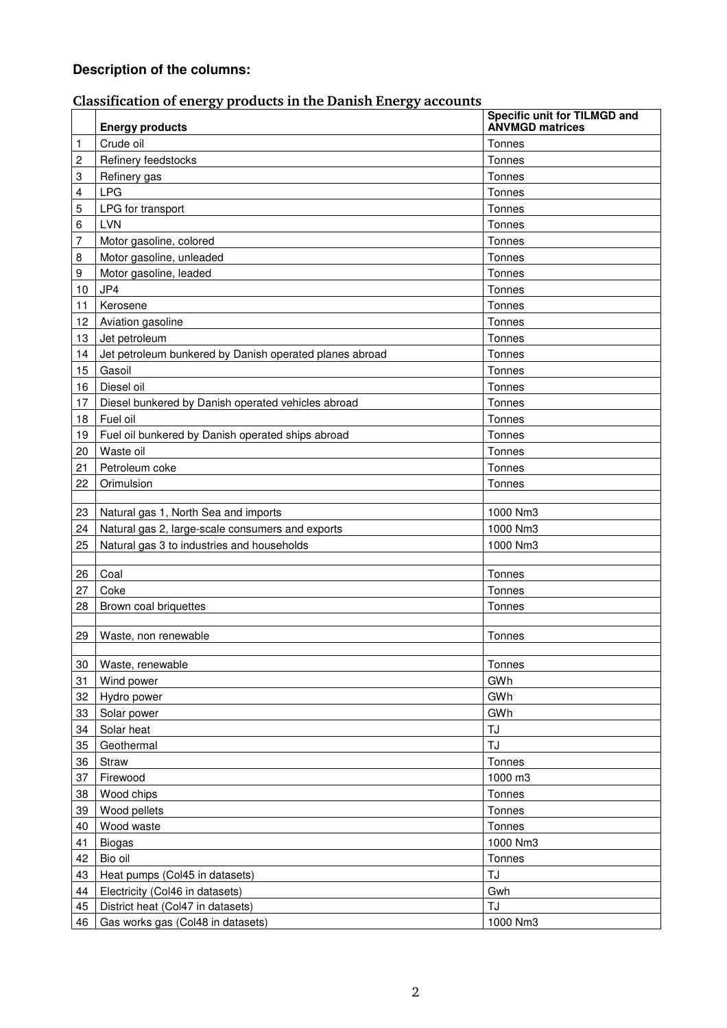# **Description of the columns:**

# **Classification of energy products in the Danish Energy accounts**

|    | <b>Energy products</b>                                         | <b>Specific unit for TILMGD and</b><br><b>ANVMGD matrices</b> |
|----|----------------------------------------------------------------|---------------------------------------------------------------|
| 1  | Crude oil                                                      | Tonnes                                                        |
| 2  | Refinery feedstocks                                            | Tonnes                                                        |
| 3  | Refinery gas                                                   | Tonnes                                                        |
| 4  | <b>LPG</b>                                                     | Tonnes                                                        |
| 5  | LPG for transport                                              | Tonnes                                                        |
| 6  | LVN                                                            | Tonnes                                                        |
| 7  | Motor gasoline, colored                                        | Tonnes                                                        |
| 8  | Motor gasoline, unleaded                                       | Tonnes                                                        |
| 9  | Motor gasoline, leaded                                         | Tonnes                                                        |
| 10 | JP4                                                            | Tonnes                                                        |
| 11 | Kerosene                                                       | Tonnes                                                        |
| 12 | Aviation gasoline                                              | Tonnes                                                        |
| 13 | Jet petroleum                                                  | Tonnes                                                        |
| 14 | Jet petroleum bunkered by Danish operated planes abroad        | Tonnes                                                        |
| 15 | Gasoil                                                         | Tonnes                                                        |
| 16 | Diesel oil                                                     | Tonnes                                                        |
| 17 | Diesel bunkered by Danish operated vehicles abroad             | Tonnes                                                        |
| 18 | Fuel oil                                                       | Tonnes                                                        |
|    |                                                                | Tonnes                                                        |
| 19 | Fuel oil bunkered by Danish operated ships abroad<br>Waste oil | Tonnes                                                        |
| 20 |                                                                |                                                               |
| 21 | Petroleum coke                                                 | Tonnes                                                        |
| 22 | Orimulsion                                                     | Tonnes                                                        |
| 23 | Natural gas 1, North Sea and imports                           | 1000 Nm3                                                      |
| 24 | Natural gas 2, large-scale consumers and exports               | 1000 Nm3                                                      |
| 25 | Natural gas 3 to industries and households                     | 1000 Nm3                                                      |
|    |                                                                |                                                               |
| 26 | Coal                                                           | Tonnes                                                        |
| 27 | Coke                                                           | Tonnes                                                        |
| 28 | Brown coal briquettes                                          | Tonnes                                                        |
|    |                                                                |                                                               |
| 29 | Waste, non renewable                                           | Tonnes                                                        |
|    |                                                                |                                                               |
| 30 | Waste, renewable                                               | Tonnes                                                        |
| 31 | Wind power                                                     | GWh                                                           |
| 32 | Hydro power                                                    | GWh                                                           |
| 33 | Solar power                                                    | GWh                                                           |
| 34 | Solar heat                                                     | TJ                                                            |
| 35 | Geothermal                                                     | TJ                                                            |
| 36 | Straw                                                          | Tonnes                                                        |
| 37 | Firewood                                                       | 1000 m3                                                       |
| 38 | Wood chips                                                     | Tonnes                                                        |
| 39 | Wood pellets                                                   | Tonnes                                                        |
| 40 | Wood waste                                                     | Tonnes                                                        |
| 41 | <b>Biogas</b>                                                  | 1000 Nm3                                                      |
| 42 | Bio oil                                                        | Tonnes                                                        |
| 43 | Heat pumps (Col45 in datasets)                                 | TJ                                                            |
| 44 | Electricity (Col46 in datasets)                                | Gwh                                                           |
| 45 | District heat (Col47 in datasets)                              | TJ                                                            |
| 46 | Gas works gas (Col48 in datasets)                              | 1000 Nm3                                                      |
|    |                                                                |                                                               |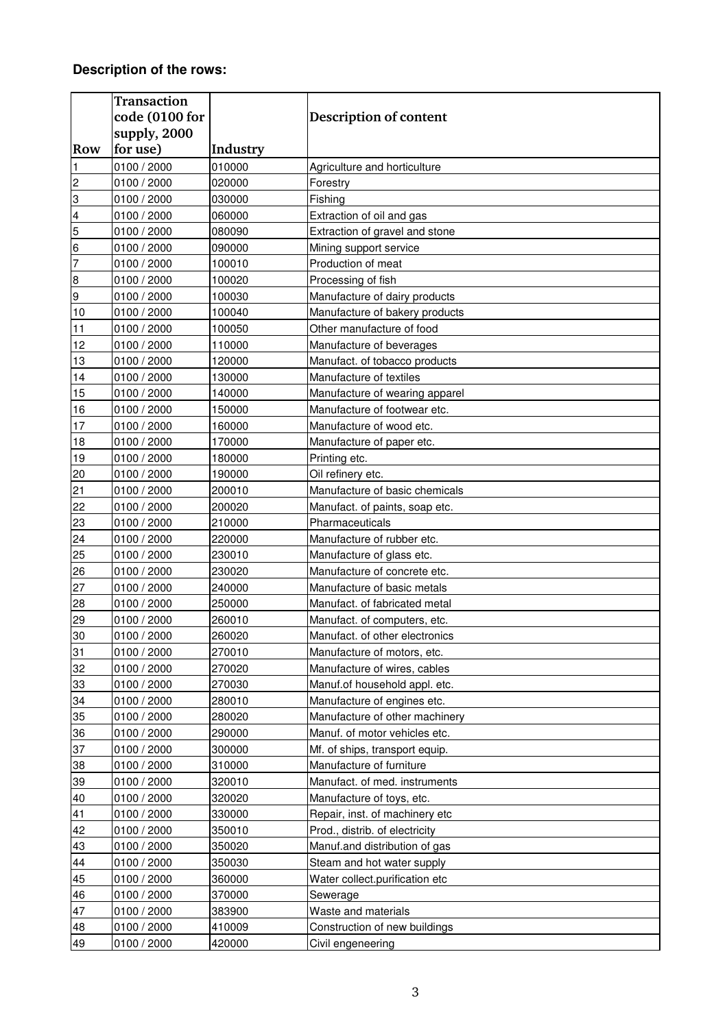# **Description of the rows:**

|                | Transaction    |          |                                |
|----------------|----------------|----------|--------------------------------|
|                | code (0100 for |          | <b>Description of content</b>  |
|                | supply, 2000   |          |                                |
| <b>Row</b>     | for use)       | Industry |                                |
| 1              | 0100 / 2000    | 010000   | Agriculture and horticulture   |
| $\overline{c}$ | 0100 / 2000    | 020000   | Forestry                       |
| 3              | 0100 / 2000    | 030000   | Fishing                        |
| 4              | 0100 / 2000    | 060000   | Extraction of oil and gas      |
| 5              | 0100 / 2000    | 080090   | Extraction of gravel and stone |
| 6              | 0100 / 2000    | 090000   | Mining support service         |
| 7              | 0100 / 2000    | 100010   | Production of meat             |
| $\bf{8}$       | 0100 / 2000    | 100020   | Processing of fish             |
| 9              | 0100 / 2000    | 100030   | Manufacture of dairy products  |
| 10             | 0100 / 2000    | 100040   | Manufacture of bakery products |
| 11             | 0100 / 2000    | 100050   | Other manufacture of food      |
| 12             | 0100 / 2000    | 110000   | Manufacture of beverages       |
| 13             | 0100 / 2000    | 120000   | Manufact. of tobacco products  |
| 14             | 0100 / 2000    | 130000   | Manufacture of textiles        |
| 15             | 0100 / 2000    | 140000   | Manufacture of wearing apparel |
| 16             | 0100 / 2000    | 150000   | Manufacture of footwear etc.   |
| 17             | 0100 / 2000    | 160000   | Manufacture of wood etc.       |
| 18             | 0100 / 2000    | 170000   | Manufacture of paper etc.      |
| 19             | 0100 / 2000    | 180000   | Printing etc.                  |
| 20             | 0100 / 2000    | 190000   | Oil refinery etc.              |
| 21             | 0100 / 2000    | 200010   | Manufacture of basic chemicals |
| 22             | 0100 / 2000    | 200020   | Manufact. of paints, soap etc. |
| 23             | 0100 / 2000    | 210000   | Pharmaceuticals                |
| 24             | 0100 / 2000    | 220000   | Manufacture of rubber etc.     |
| 25             | 0100 / 2000    | 230010   | Manufacture of glass etc.      |
| 26             | 0100 / 2000    | 230020   | Manufacture of concrete etc.   |
| 27             | 0100 / 2000    | 240000   | Manufacture of basic metals    |
| 28             | 0100 / 2000    | 250000   | Manufact. of fabricated metal  |
| 29             | 0100 / 2000    | 260010   | Manufact. of computers, etc.   |
| 30             | 0100 / 2000    | 260020   | Manufact, of other electronics |
| 31             | 0100 / 2000    | 270010   | Manufacture of motors, etc.    |
| 32             | 0100 / 2000    | 270020   | Manufacture of wires, cables   |
| 33             | 0100 / 2000    | 270030   | Manuf.of household appl. etc.  |
| 34             | 0100 / 2000    | 280010   | Manufacture of engines etc.    |
| 35             | 0100 / 2000    | 280020   | Manufacture of other machinery |
| 36             | 0100 / 2000    | 290000   | Manuf. of motor vehicles etc.  |
| 37             | 0100 / 2000    | 300000   | Mf. of ships, transport equip. |
| 38             | 0100 / 2000    | 310000   | Manufacture of furniture       |
| 39             | 0100 / 2000    | 320010   | Manufact. of med. instruments  |
| 40             | 0100 / 2000    | 320020   | Manufacture of toys, etc.      |
| 41             | 0100 / 2000    | 330000   | Repair, inst. of machinery etc |
| 42             | 0100 / 2000    | 350010   | Prod., distrib. of electricity |
| 43             | 0100 / 2000    | 350020   | Manuf.and distribution of gas  |
| 44             | 0100 / 2000    | 350030   | Steam and hot water supply     |
| 45             | 0100 / 2000    | 360000   | Water collect.purification etc |
| 46             | 0100 / 2000    | 370000   | Sewerage                       |
| 47             | 0100 / 2000    | 383900   | Waste and materials            |
| 48             | 0100 / 2000    | 410009   | Construction of new buildings  |
| 49             | 0100 / 2000    | 420000   | Civil engeneering              |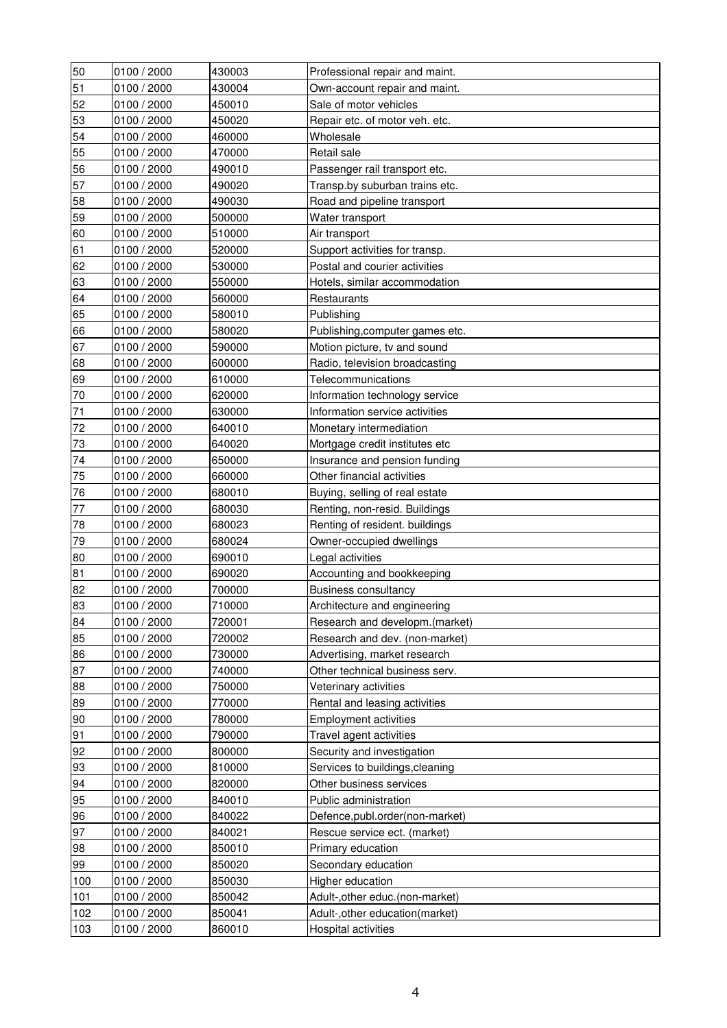| 50  | 0100 / 2000 | 430003 | Professional repair and maint.   |
|-----|-------------|--------|----------------------------------|
| 51  | 0100 / 2000 | 430004 | Own-account repair and maint.    |
| 52  | 0100 / 2000 | 450010 | Sale of motor vehicles           |
| 53  | 0100 / 2000 | 450020 | Repair etc. of motor veh. etc.   |
| 54  | 0100 / 2000 | 460000 | Wholesale                        |
| 55  | 0100 / 2000 | 470000 | Retail sale                      |
| 56  | 0100 / 2000 | 490010 | Passenger rail transport etc.    |
| 57  | 0100 / 2000 | 490020 | Transp.by suburban trains etc.   |
| 58  | 0100 / 2000 | 490030 | Road and pipeline transport      |
| 59  | 0100 / 2000 | 500000 | Water transport                  |
| 60  | 0100 / 2000 | 510000 | Air transport                    |
| 61  | 0100 / 2000 | 520000 | Support activities for transp.   |
| 62  | 0100 / 2000 | 530000 | Postal and courier activities    |
| 63  | 0100 / 2000 | 550000 | Hotels, similar accommodation    |
| 64  | 0100 / 2000 | 560000 | Restaurants                      |
| 65  | 0100 / 2000 | 580010 | Publishing                       |
| 66  | 0100 / 2000 | 580020 | Publishing, computer games etc.  |
| 67  | 0100 / 2000 | 590000 | Motion picture, tv and sound     |
| 68  | 0100 / 2000 | 600000 | Radio, television broadcasting   |
| 69  | 0100 / 2000 | 610000 | Telecommunications               |
| 70  | 0100 / 2000 | 620000 | Information technology service   |
| 71  | 0100 / 2000 | 630000 | Information service activities   |
| 72  | 0100 / 2000 | 640010 | Monetary intermediation          |
| 73  | 0100 / 2000 | 640020 | Mortgage credit institutes etc   |
| 74  | 0100 / 2000 | 650000 | Insurance and pension funding    |
| 75  | 0100 / 2000 | 660000 | Other financial activities       |
| 76  | 0100 / 2000 | 680010 | Buying, selling of real estate   |
| 77  | 0100 / 2000 | 680030 | Renting, non-resid. Buildings    |
| 78  | 0100 / 2000 | 680023 | Renting of resident. buildings   |
| 79  | 0100 / 2000 | 680024 | Owner-occupied dwellings         |
| 80  | 0100 / 2000 | 690010 | Legal activities                 |
| 81  | 0100 / 2000 | 690020 | Accounting and bookkeeping       |
| 82  | 0100 / 2000 | 700000 | <b>Business consultancy</b>      |
| 83  | 0100 / 2000 | 710000 | Architecture and engineering     |
| 84  | 0100 / 2000 | 720001 | Research and developm.(market)   |
| 85  | 0100 / 2000 | 720002 | Research and dev. (non-market)   |
| 86  | 0100 / 2000 | 730000 | Advertising, market research     |
| 87  | 0100 / 2000 | 740000 | Other technical business serv.   |
| 88  | 0100 / 2000 | 750000 | Veterinary activities            |
| 89  | 0100 / 2000 | 770000 | Rental and leasing activities    |
| 90  | 0100 / 2000 | 780000 | <b>Employment activities</b>     |
| 91  | 0100 / 2000 | 790000 | Travel agent activities          |
| 92  | 0100 / 2000 | 800000 | Security and investigation       |
| 93  | 0100 / 2000 | 810000 | Services to buildings, cleaning  |
| 94  | 0100 / 2000 | 820000 | Other business services          |
| 95  | 0100 / 2000 | 840010 | Public administration            |
| 96  | 0100 / 2000 | 840022 | Defence, publ.order(non-market)  |
| 97  | 0100 / 2000 | 840021 | Rescue service ect. (market)     |
| 98  | 0100 / 2000 | 850010 | Primary education                |
| 99  | 0100 / 2000 | 850020 | Secondary education              |
| 100 | 0100 / 2000 | 850030 | Higher education                 |
| 101 | 0100 / 2000 | 850042 | Adult-, other educ. (non-market) |
| 102 | 0100 / 2000 | 850041 | Adult-, other education (market) |
| 103 | 0100 / 2000 | 860010 | Hospital activities              |